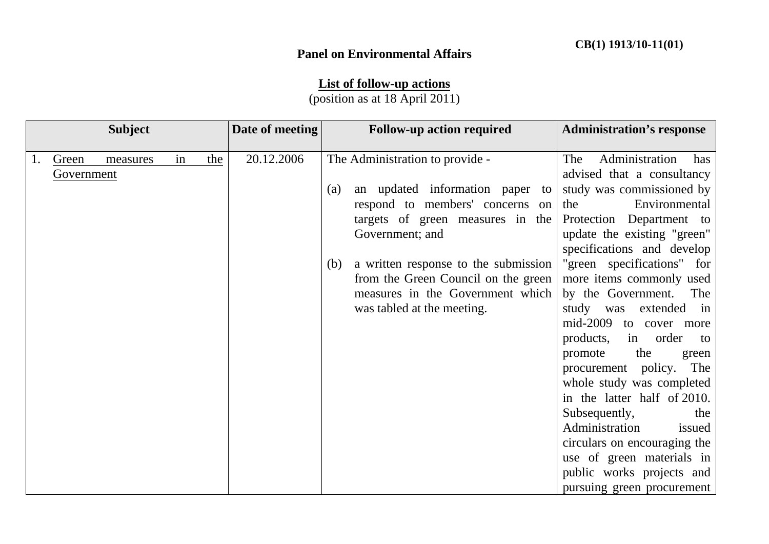## **Panel on Environmental Affairs**

## **List of follow-up actions**

(position as at 18 April 2011)

|    |            | <b>Subject</b> |    |     | Date of meeting |     | <b>Follow-up action required</b>     | <b>Administration's response</b> |
|----|------------|----------------|----|-----|-----------------|-----|--------------------------------------|----------------------------------|
|    |            |                |    |     |                 |     |                                      |                                  |
| 1. | Green      | measures       | in | the | 20.12.2006      |     | The Administration to provide -      | Administration<br>The<br>has     |
|    | Government |                |    |     |                 |     |                                      | advised that a consultancy       |
|    |            |                |    |     |                 | (a) | an updated information paper to      | study was commissioned by        |
|    |            |                |    |     |                 |     | respond to members' concerns on      | Environmental<br>the             |
|    |            |                |    |     |                 |     | targets of green measures in the     | Protection Department to         |
|    |            |                |    |     |                 |     | Government; and                      | update the existing "green"      |
|    |            |                |    |     |                 |     |                                      | specifications and develop       |
|    |            |                |    |     |                 | (b) | a written response to the submission | "green specifications" for       |
|    |            |                |    |     |                 |     | from the Green Council on the green  | more items commonly used         |
|    |            |                |    |     |                 |     | measures in the Government which     | by the Government. The           |
|    |            |                |    |     |                 |     | was tabled at the meeting.           | study was<br>extended in         |
|    |            |                |    |     |                 |     |                                      | mid-2009 to cover more           |
|    |            |                |    |     |                 |     |                                      | products,<br>in order<br>to      |
|    |            |                |    |     |                 |     |                                      | the<br>promote<br>green          |
|    |            |                |    |     |                 |     |                                      | procurement policy. The          |
|    |            |                |    |     |                 |     |                                      | whole study was completed        |
|    |            |                |    |     |                 |     |                                      | in the latter half of 2010.      |
|    |            |                |    |     |                 |     |                                      | Subsequently,<br>the             |
|    |            |                |    |     |                 |     |                                      | Administration<br>issued         |
|    |            |                |    |     |                 |     |                                      | circulars on encouraging the     |
|    |            |                |    |     |                 |     |                                      | use of green materials in        |
|    |            |                |    |     |                 |     |                                      | public works projects and        |
|    |            |                |    |     |                 |     |                                      | pursuing green procurement       |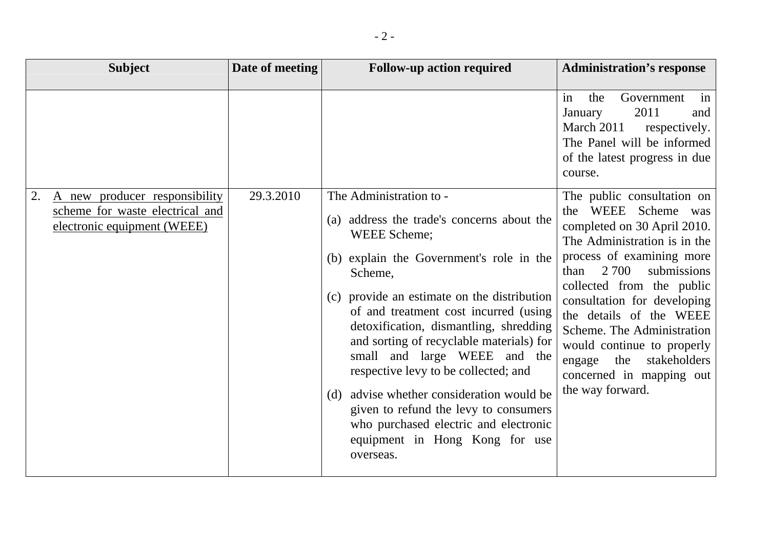| <b>Subject</b>                                                 | Date of meeting | <b>Follow-up action required</b>                                                                                                                                                                                                                                                                                                                                                                                                                                                                                                                         | <b>Administration's response</b>                                                                                                                                                                                                                                                                                                                                                    |
|----------------------------------------------------------------|-----------------|----------------------------------------------------------------------------------------------------------------------------------------------------------------------------------------------------------------------------------------------------------------------------------------------------------------------------------------------------------------------------------------------------------------------------------------------------------------------------------------------------------------------------------------------------------|-------------------------------------------------------------------------------------------------------------------------------------------------------------------------------------------------------------------------------------------------------------------------------------------------------------------------------------------------------------------------------------|
| 2.<br>A new producer responsibility                            | 29.3.2010       | The Administration to -                                                                                                                                                                                                                                                                                                                                                                                                                                                                                                                                  | in<br>Government<br>the<br>in<br>2011<br>January<br>and<br>March 2011<br>respectively.<br>The Panel will be informed<br>of the latest progress in due<br>course.<br>The public consultation on                                                                                                                                                                                      |
| scheme for waste electrical and<br>electronic equipment (WEEE) |                 | (a) address the trade's concerns about the<br>WEEE Scheme;<br>(b) explain the Government's role in the<br>Scheme,<br>(c) provide an estimate on the distribution<br>of and treatment cost incurred (using<br>detoxification, dismantling, shredding<br>and sorting of recyclable materials) for<br>small and large WEEE and the<br>respective levy to be collected; and<br>advise whether consideration would be<br>(d)<br>given to refund the levy to consumers<br>who purchased electric and electronic<br>equipment in Hong Kong for use<br>overseas. | the WEEE Scheme was<br>completed on 30 April 2010.<br>The Administration is in the<br>process of examining more<br>2 700<br>submissions<br>than<br>collected from the public<br>consultation for developing<br>the details of the WEEE<br>Scheme. The Administration<br>would continue to properly<br>stakeholders<br>engage<br>the<br>concerned in mapping out<br>the way forward. |